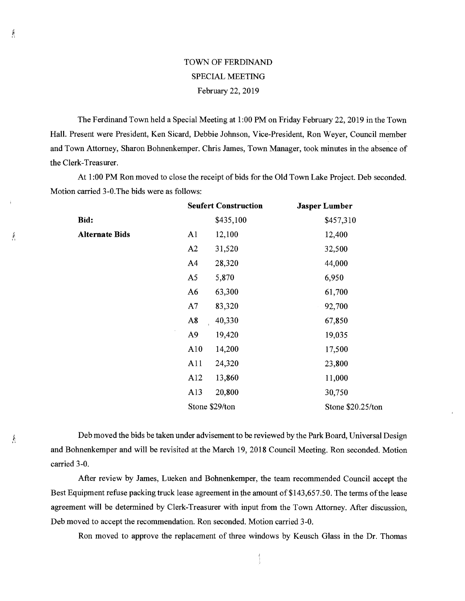## TOWN OF FERDINAND SPECIAL MEETING February 22, 2019

The Ferdinand Town held a Special Meeting at 1:00 PM on Friday February 22, 2019 in the Town Hall. Present were President, Ken Sicard, Debbie Johnson, Vice-President, Ron Weyer, Council member and Town Attorney, Sharon Bohnenkemper. Chris James, Town Manager, took minutes in the absence of the Clerk-Treasurer.

At 1:00 PM Ron moved to close the receipt of bids for the Old Town Lake Project. Deb seconded. Motion carried 3-0.The bids were as follows:

|                       | <b>Seufert Construction</b> |           | <b>Jasper Lumber</b> |
|-----------------------|-----------------------------|-----------|----------------------|
| Bid:                  |                             | \$435,100 | \$457,310            |
| <b>Alternate Bids</b> | A <sub>1</sub>              | 12,100    | 12,400               |
|                       | A2                          | 31,520    | 32,500               |
|                       | A <sub>4</sub>              | 28,320    | 44,000               |
|                       | A <sub>5</sub>              | 5,870     | 6,950                |
|                       | A <sub>6</sub>              | 63,300    | 61,700               |
|                       | A7                          | 83,320    | 92,700               |
|                       | A8                          | 40,330    | 67,850               |
|                       | A <sub>9</sub>              | 19,420    | 19,035               |
|                       | A10                         | 14,200    | 17,500               |
|                       | A11                         | 24,320    | 23,800               |
|                       | A12                         | 13,860    | 11,000               |
|                       | A13                         | 20,800    | 30,750               |
|                       | Stone \$29/ton              |           | Stone \$20.25/ton    |

Deb moved the bids be taken under advisement to be reviewed by the Park Board, Universal Design and Bohnenkemper and will be revisited at the March 19, 2018 Council Meeting. Ron seconded. Motion carried 3-0.

After review by James, Lueken and Bohnenkemper, the team recommended Council accept the Best Equipment refuse packing truck lease agreement in the amount of \$143,657.50. The terms of the lease agreement will be determined by Clerk-Treasurer with input from the Town Attorney. After discussion, Deb moved to accept the recommendation. Ron seconded. Motion carried 3-0.

Ron moved to approve the replacement of three windows by Keusch Glass in the Dr. Thomas

Â

Â